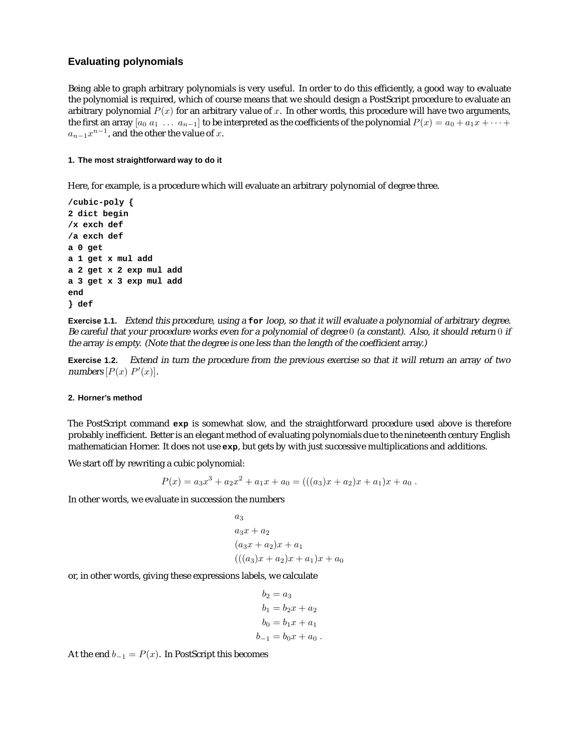## **Evaluating polynomials**

Being able to graph arbitrary polynomials is very useful. In order to do this efficiently, a good way to evaluate the polynomial is required, which of course means that we should design a PostScript procedure to evaluate an arbitrary polynomial  $P(x)$  for an arbitrary value of x. In other words, this procedure will have two arguments, the first an array  $[a_0 a_1 \ldots a_{n-1}]$  to be interpreted as the coefficients of the polynomial  $P(x) = a_0 + a_1 x + \cdots$  $a_{n-1}x^{n-1}$ , and the other the value of x.

## **1. The most straightforward way to do it**

Here, for example, is a procedure which will evaluate an arbitrary polynomial of degree three.

```
/cubic-poly {
2 dict begin
/x exch def
/a exch def
a 0 get
a 1 get x mul add
a 2 get x 2 exp mul add
a 3 get x 3 exp mul add
end
} def
```
**Exercise 1.1.** Extend this procedure, using <sup>a</sup> **for** loop, so that it will evaluate <sup>a</sup> polynomial of arbitrary degree. Be careful that your procedure works even for <sup>a</sup> polynomial of degree 0 (a constant). Also, it should return 0 if the array is empty. (Note that the degree is one less than the length of the coefficient array.)

**Exercise 1.2.** Extend in turn the procedure from the previous exercise so that it will return an array of two numbers  $[P(x)$   $P'(x)]$ .

## **2. Horner's method**

The PostScript command **exp** is somewhat slow, and the straightforward procedure used above is therefore probably inefficient. Better is an elegant method of evaluating polynomials due to the nineteenth century English mathematician Horner. It does not use **exp**, but gets by with just successive multiplications and additions.

We start off by rewriting a cubic polynomial:

$$
P(x) = a_3x^3 + a_2x^2 + a_1x + a_0 = (((a_3)x + a_2)x + a_1)x + a_0.
$$

In other words, we evaluate in succession the numbers

$$
a_3
$$
  
\n $a_3x + a_2$   
\n $(a_3x + a_2)x + a_1$   
\n $((a_3)x + a_2)x + a_1)x + a_0$ 

or, in other words, giving these expressions labels, we calculate

$$
b_2 = a_3
$$
  
\n
$$
b_1 = b_2x + a_2
$$
  
\n
$$
b_0 = b_1x + a_1
$$
  
\n
$$
b_{-1} = b_0x + a_0
$$
.

At the end  $b_{-1} = P(x)$ . In PostScript this becomes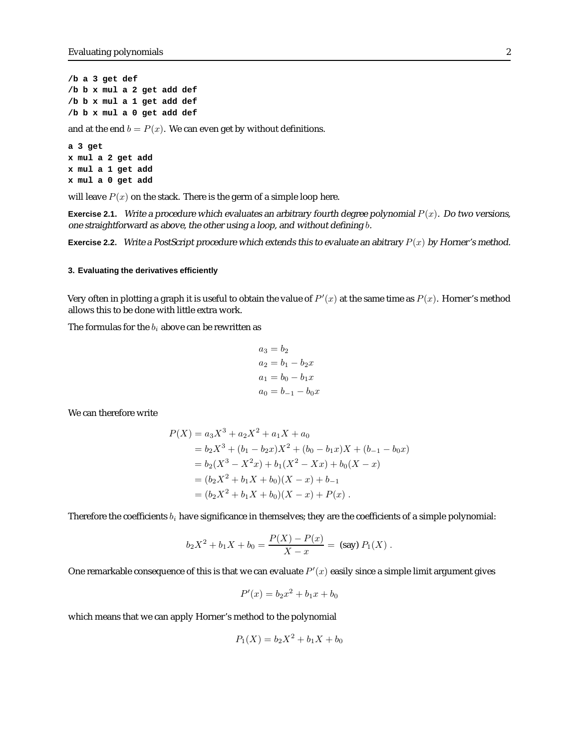**/b a 3 get def /b b x mul a 2 get add def /b b x mul a 1 get add def /b b x mul a 0 get add def**

and at the end  $b = P(x)$ . We can even get by without definitions.

**a 3 get x mul a 2 get add x mul a 1 get add x mul a 0 get add**

will leave  $P(x)$  on the stack. There is the germ of a simple loop here.

**Exercise 2.1.** Write a procedure which evaluates an arbitrary fourth degree polynomial  $P(x)$ . Do two versions, one straightforward as above, the other using <sup>a</sup> loop, and without defining b.

**Exercise 2.2.** Write a PostScript procedure which extends this to evaluate an abitrary  $P(x)$  by Horner's method.

## **3. Evaluating the derivatives efficiently**

Very often in plotting a graph it is useful to obtain the value of  $P'(x)$  at the same time as  $P(x).$  Horner's method allows this to be done with little extra work.

The formulas for the  $b_i$  above can be rewritten as

$$
a_3 = b_2
$$
  
\n
$$
a_2 = b_1 - b_2x
$$
  
\n
$$
a_1 = b_0 - b_1x
$$
  
\n
$$
a_0 = b_{-1} - b_0x
$$

We can therefore write

$$
P(X) = a_3 X^3 + a_2 X^2 + a_1 X + a_0
$$
  
=  $b_2 X^3 + (b_1 - b_2 x) X^2 + (b_0 - b_1 x) X + (b_{-1} - b_0 x)$   
=  $b_2 (X^3 - X^2 x) + b_1 (X^2 - Xx) + b_0 (X - x)$   
=  $(b_2 X^2 + b_1 X + b_0) (X - x) + b_{-1}$   
=  $(b_2 X^2 + b_1 X + b_0) (X - x) + P(x)$ .

Therefore the coefficients  $b_i$  have significance in themselves; they are the coefficients of a simple polynomial:

$$
b_2X^2 + b_1X + b_0 = \frac{P(X) - P(x)}{X - x} = \text{ (say) } P_1(X) .
$$

One remarkable consequence of this is that we can evaluate  $P^\prime(x)$  easily since a simple limit argument gives

$$
P'(x) = b_2 x^2 + b_1 x + b_0
$$

which means that we can apply Horner's method to the polynomial

$$
P_1(X) = b_2 X^2 + b_1 X + b_0
$$